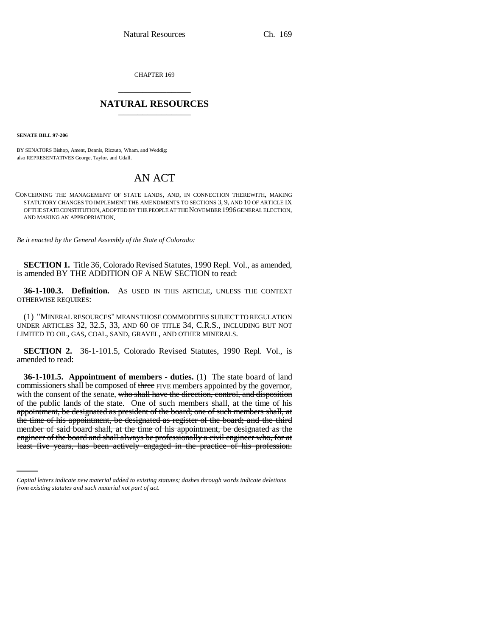CHAPTER 169 \_\_\_\_\_\_\_\_\_\_\_\_\_\_\_

# **NATURAL RESOURCES** \_\_\_\_\_\_\_\_\_\_\_\_\_\_\_

**SENATE BILL 97-206**

BY SENATORS Bishop, Ament, Dennis, Rizzuto, Wham, and Weddig; also REPRESENTATIVES George, Taylor, and Udall.

# AN ACT

CONCERNING THE MANAGEMENT OF STATE LANDS, AND, IN CONNECTION THEREWITH, MAKING STATUTORY CHANGES TO IMPLEMENT THE AMENDMENTS TO SECTIONS 3, 9, AND 10 OF ARTICLE IX OF THE STATE CONSTITUTION, ADOPTED BY THE PEOPLE AT THE NOVEMBER 1996 GENERAL ELECTION, AND MAKING AN APPROPRIATION.

*Be it enacted by the General Assembly of the State of Colorado:*

**SECTION 1.** Title 36, Colorado Revised Statutes, 1990 Repl. Vol., as amended, is amended BY THE ADDITION OF A NEW SECTION to read:

**36-1-100.3. Definition.** AS USED IN THIS ARTICLE, UNLESS THE CONTEXT OTHERWISE REQUIRES:

(1) "MINERAL RESOURCES" MEANS THOSE COMMODITIES SUBJECT TO REGULATION UNDER ARTICLES 32, 32.5, 33, AND 60 OF TITLE 34, C.R.S., INCLUDING BUT NOT LIMITED TO OIL, GAS, COAL, SAND, GRAVEL, AND OTHER MINERALS.

**SECTION 2.** 36-1-101.5, Colorado Revised Statutes, 1990 Repl. Vol., is amended to read:

member of said board shall, at the time of his appointment, be designated as the **36-1-101.5. Appointment of members - duties.** (1) The state board of land commissioners shall be composed of three FIVE members appointed by the governor, with the consent of the senate, who shall have the direction, control, and disposition of the public lands of the state. One of such members shall, at the time of his appointment, be designated as president of the board; one of such members shall, at the time of his appointment, be designated as register of the board; and the third engineer of the board and shall always be professionally a civil engineer who, for at least five years, has been actively engaged in the practice of his profession.

*Capital letters indicate new material added to existing statutes; dashes through words indicate deletions from existing statutes and such material not part of act.*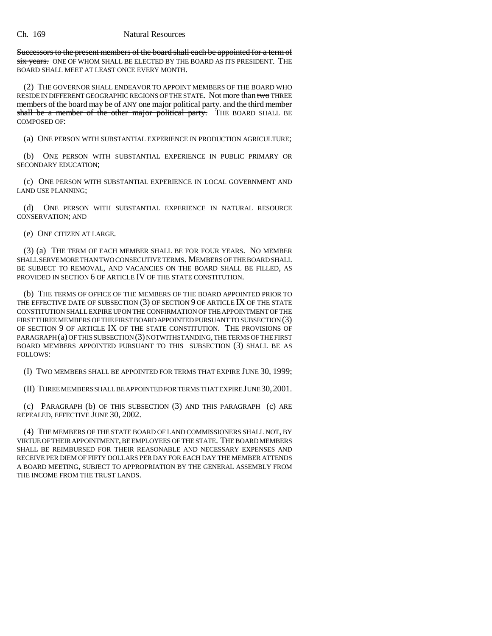Successors to the present members of the board shall each be appointed for a term of six years. ONE OF WHOM SHALL BE ELECTED BY THE BOARD AS ITS PRESIDENT. THE BOARD SHALL MEET AT LEAST ONCE EVERY MONTH.

(2) THE GOVERNOR SHALL ENDEAVOR TO APPOINT MEMBERS OF THE BOARD WHO RESIDE IN DIFFERENT GEOGRAPHIC REGIONS OF THE STATE. Not more than two THREE members of the board may be of ANY one major political party. and the third member shall be a member of the other major political party. THE BOARD SHALL BE COMPOSED OF:

(a) ONE PERSON WITH SUBSTANTIAL EXPERIENCE IN PRODUCTION AGRICULTURE;

(b) ONE PERSON WITH SUBSTANTIAL EXPERIENCE IN PUBLIC PRIMARY OR SECONDARY EDUCATION;

(c) ONE PERSON WITH SUBSTANTIAL EXPERIENCE IN LOCAL GOVERNMENT AND LAND USE PLANNING;

(d) ONE PERSON WITH SUBSTANTIAL EXPERIENCE IN NATURAL RESOURCE CONSERVATION; AND

(e) ONE CITIZEN AT LARGE.

(3) (a) THE TERM OF EACH MEMBER SHALL BE FOR FOUR YEARS. NO MEMBER SHALL SERVE MORE THAN TWO CONSECUTIVE TERMS. MEMBERS OF THE BOARD SHALL BE SUBJECT TO REMOVAL, AND VACANCIES ON THE BOARD SHALL BE FILLED, AS PROVIDED IN SECTION 6 OF ARTICLE IV OF THE STATE CONSTITUTION.

(b) THE TERMS OF OFFICE OF THE MEMBERS OF THE BOARD APPOINTED PRIOR TO THE EFFECTIVE DATE OF SUBSECTION (3) OF SECTION 9 OF ARTICLE IX OF THE STATE CONSTITUTION SHALL EXPIRE UPON THE CONFIRMATION OF THE APPOINTMENT OF THE FIRST THREE MEMBERS OF THE FIRST BOARD APPOINTED PURSUANT TO SUBSECTION (3) OF SECTION 9 OF ARTICLE IX OF THE STATE CONSTITUTION. THE PROVISIONS OF PARAGRAPH (a) OF THIS SUBSECTION (3) NOTWITHSTANDING, THE TERMS OF THE FIRST BOARD MEMBERS APPOINTED PURSUANT TO THIS SUBSECTION (3) SHALL BE AS FOLLOWS:

(I) TWO MEMBERS SHALL BE APPOINTED FOR TERMS THAT EXPIRE JUNE 30, 1999;

(II) THREE MEMBERS SHALL BE APPOINTED FOR TERMS THAT EXPIRE JUNE 30,2001.

(c) PARAGRAPH (b) OF THIS SUBSECTION (3) AND THIS PARAGRAPH (c) ARE REPEALED, EFFECTIVE JUNE 30, 2002.

(4) THE MEMBERS OF THE STATE BOARD OF LAND COMMISSIONERS SHALL NOT, BY VIRTUE OF THEIR APPOINTMENT, BE EMPLOYEES OF THE STATE. THE BOARD MEMBERS SHALL BE REIMBURSED FOR THEIR REASONABLE AND NECESSARY EXPENSES AND RECEIVE PER DIEM OF FIFTY DOLLARS PER DAY FOR EACH DAY THE MEMBER ATTENDS A BOARD MEETING, SUBJECT TO APPROPRIATION BY THE GENERAL ASSEMBLY FROM THE INCOME FROM THE TRUST LANDS.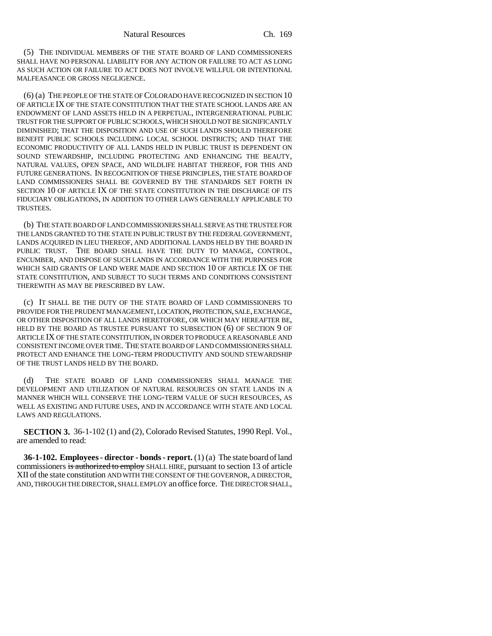(5) THE INDIVIDUAL MEMBERS OF THE STATE BOARD OF LAND COMMISSIONERS SHALL HAVE NO PERSONAL LIABILITY FOR ANY ACTION OR FAILURE TO ACT AS LONG AS SUCH ACTION OR FAILURE TO ACT DOES NOT INVOLVE WILLFUL OR INTENTIONAL MALFEASANCE OR GROSS NEGLIGENCE.

(6) (a) THE PEOPLE OF THE STATE OF COLORADO HAVE RECOGNIZED IN SECTION 10 OF ARTICLE IX OF THE STATE CONSTITUTION THAT THE STATE SCHOOL LANDS ARE AN ENDOWMENT OF LAND ASSETS HELD IN A PERPETUAL, INTERGENERATIONAL PUBLIC TRUST FOR THE SUPPORT OF PUBLIC SCHOOLS, WHICH SHOULD NOT BE SIGNIFICANTLY DIMINISHED; THAT THE DISPOSITION AND USE OF SUCH LANDS SHOULD THEREFORE BENEFIT PUBLIC SCHOOLS INCLUDING LOCAL SCHOOL DISTRICTS; AND THAT THE ECONOMIC PRODUCTIVITY OF ALL LANDS HELD IN PUBLIC TRUST IS DEPENDENT ON SOUND STEWARDSHIP, INCLUDING PROTECTING AND ENHANCING THE BEAUTY, NATURAL VALUES, OPEN SPACE, AND WILDLIFE HABITAT THEREOF, FOR THIS AND FUTURE GENERATIONS. IN RECOGNITION OF THESE PRINCIPLES, THE STATE BOARD OF LAND COMMISSIONERS SHALL BE GOVERNED BY THE STANDARDS SET FORTH IN SECTION 10 OF ARTICLE IX OF THE STATE CONSTITUTION IN THE DISCHARGE OF ITS FIDUCIARY OBLIGATIONS, IN ADDITION TO OTHER LAWS GENERALLY APPLICABLE TO TRUSTEES.

(b) THE STATE BOARD OF LAND COMMISSIONERS SHALL SERVE AS THE TRUSTEE FOR THE LANDS GRANTED TO THE STATE IN PUBLIC TRUST BY THE FEDERAL GOVERNMENT, LANDS ACQUIRED IN LIEU THEREOF, AND ADDITIONAL LANDS HELD BY THE BOARD IN PUBLIC TRUST. THE BOARD SHALL HAVE THE DUTY TO MANAGE, CONTROL, ENCUMBER, AND DISPOSE OF SUCH LANDS IN ACCORDANCE WITH THE PURPOSES FOR WHICH SAID GRANTS OF LAND WERE MADE AND SECTION 10 OF ARTICLE IX OF THE STATE CONSTITUTION, AND SUBJECT TO SUCH TERMS AND CONDITIONS CONSISTENT THEREWITH AS MAY BE PRESCRIBED BY LAW.

(c) IT SHALL BE THE DUTY OF THE STATE BOARD OF LAND COMMISSIONERS TO PROVIDE FOR THE PRUDENT MANAGEMENT, LOCATION, PROTECTION, SALE, EXCHANGE, OR OTHER DISPOSITION OF ALL LANDS HERETOFORE, OR WHICH MAY HEREAFTER BE, HELD BY THE BOARD AS TRUSTEE PURSUANT TO SUBSECTION (6) OF SECTION 9 OF ARTICLE IX OF THE STATE CONSTITUTION, IN ORDER TO PRODUCE A REASONABLE AND CONSISTENT INCOME OVER TIME. THE STATE BOARD OF LAND COMMISSIONERS SHALL PROTECT AND ENHANCE THE LONG-TERM PRODUCTIVITY AND SOUND STEWARDSHIP OF THE TRUST LANDS HELD BY THE BOARD.

(d) THE STATE BOARD OF LAND COMMISSIONERS SHALL MANAGE THE DEVELOPMENT AND UTILIZATION OF NATURAL RESOURCES ON STATE LANDS IN A MANNER WHICH WILL CONSERVE THE LONG-TERM VALUE OF SUCH RESOURCES, AS WELL AS EXISTING AND FUTURE USES, AND IN ACCORDANCE WITH STATE AND LOCAL LAWS AND REGULATIONS.

**SECTION 3.** 36-1-102 (1) and (2), Colorado Revised Statutes, 1990 Repl. Vol., are amended to read:

**36-1-102. Employees - director - bonds - report.** (1) (a) The state board of land commissioners is authorized to employ SHALL HIRE, pursuant to section 13 of article XII of the state constitution AND WITH THE CONSENT OF THE GOVERNOR, A DIRECTOR, AND, THROUGH THE DIRECTOR, SHALL EMPLOY an office force. THE DIRECTOR SHALL,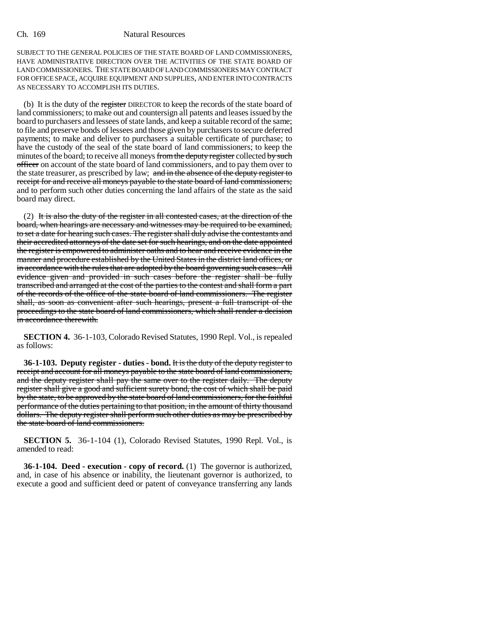SUBJECT TO THE GENERAL POLICIES OF THE STATE BOARD OF LAND COMMISSIONERS, HAVE ADMINISTRATIVE DIRECTION OVER THE ACTIVITIES OF THE STATE BOARD OF LAND COMMISSIONERS. THE STATE BOARD OF LAND COMMISSIONERS MAY CONTRACT FOR OFFICE SPACE, ACQUIRE EQUIPMENT AND SUPPLIES, AND ENTER INTO CONTRACTS AS NECESSARY TO ACCOMPLISH ITS DUTIES.

(b) It is the duty of the register DIRECTOR to keep the records of the state board of land commissioners; to make out and countersign all patents and leases issued by the board to purchasers and lessees of state lands, and keep a suitable record of the same; to file and preserve bonds of lessees and those given by purchasers to secure deferred payments; to make and deliver to purchasers a suitable certificate of purchase; to have the custody of the seal of the state board of land commissioners; to keep the minutes of the board; to receive all moneys from the deputy register collected by such officer on account of the state board of land commissioners, and to pay them over to the state treasurer, as prescribed by law; and in the absence of the deputy register to receipt for and receive all moneys payable to the state board of land commissioners; and to perform such other duties concerning the land affairs of the state as the said board may direct.

(2) It is also the duty of the register in all contested cases, at the direction of the board, when hearings are necessary and witnesses may be required to be examined, to set a date for hearing such cases. The register shall duly advise the contestants and their accredited attorneys of the date set for such hearings, and on the date appointed the register is empowered to administer oaths and to hear and receive evidence in the manner and procedure established by the United States in the district land offices, or in accordance with the rules that are adopted by the board governing such cases. All evidence given and provided in such cases before the register shall be fully transcribed and arranged at the cost of the parties to the contest and shall form a part of the records of the office of the state board of land commissioners. The register shall, as soon as convenient after such hearings, present a full transcript of the proceedings to the state board of land commissioners, which shall render a decision in accordance therewith.

**SECTION 4.** 36-1-103, Colorado Revised Statutes, 1990 Repl. Vol., is repealed as follows:

**36-1-103. Deputy register - duties - bond.** It is the duty of the deputy register to receipt and account for all moneys payable to the state board of land commissioners, and the deputy register shall pay the same over to the register daily. The deputy register shall give a good and sufficient surety bond, the cost of which shall be paid by the state, to be approved by the state board of land commissioners, for the faithful performance of the duties pertaining to that position, in the amount of thirty thousand dollars. The deputy register shall perform such other duties as may be prescribed by the state board of land commissioners.

**SECTION 5.** 36-1-104 (1), Colorado Revised Statutes, 1990 Repl. Vol., is amended to read:

**36-1-104. Deed - execution - copy of record.** (1) The governor is authorized, and, in case of his absence or inability, the lieutenant governor is authorized, to execute a good and sufficient deed or patent of conveyance transferring any lands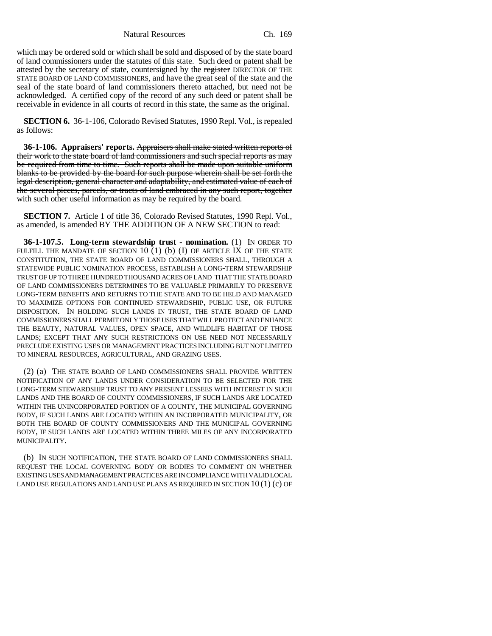Natural Resources Ch. 169

which may be ordered sold or which shall be sold and disposed of by the state board of land commissioners under the statutes of this state. Such deed or patent shall be attested by the secretary of state, countersigned by the register DIRECTOR OF THE STATE BOARD OF LAND COMMISSIONERS, and have the great seal of the state and the seal of the state board of land commissioners thereto attached, but need not be acknowledged. A certified copy of the record of any such deed or patent shall be receivable in evidence in all courts of record in this state, the same as the original.

**SECTION 6.** 36-1-106, Colorado Revised Statutes, 1990 Repl. Vol., is repealed as follows:

**36-1-106. Appraisers' reports.** Appraisers shall make stated written reports of their work to the state board of land commissioners and such special reports as may be required from time to time. Such reports shall be made upon suitable uniform blanks to be provided by the board for such purpose wherein shall be set forth the legal description, general character and adaptability, and estimated value of each of the several pieces, parcels, or tracts of land embraced in any such report, together with such other useful information as may be required by the board.

**SECTION 7.** Article 1 of title 36, Colorado Revised Statutes, 1990 Repl. Vol., as amended, is amended BY THE ADDITION OF A NEW SECTION to read:

**36-1-107.5. Long-term stewardship trust - nomination.** (1) IN ORDER TO FULFILL THE MANDATE OF SECTION 10  $(1)$  (b) (I) OF ARTICLE IX OF THE STATE CONSTITUTION, THE STATE BOARD OF LAND COMMISSIONERS SHALL, THROUGH A STATEWIDE PUBLIC NOMINATION PROCESS, ESTABLISH A LONG-TERM STEWARDSHIP TRUST OF UP TO THREE HUNDRED THOUSAND ACRES OF LAND THAT THE STATE BOARD OF LAND COMMISSIONERS DETERMINES TO BE VALUABLE PRIMARILY TO PRESERVE LONG-TERM BENEFITS AND RETURNS TO THE STATE AND TO BE HELD AND MANAGED TO MAXIMIZE OPTIONS FOR CONTINUED STEWARDSHIP, PUBLIC USE, OR FUTURE DISPOSITION. IN HOLDING SUCH LANDS IN TRUST, THE STATE BOARD OF LAND COMMISSIONERS SHALL PERMIT ONLY THOSE USES THAT WILL PROTECT AND ENHANCE THE BEAUTY, NATURAL VALUES, OPEN SPACE, AND WILDLIFE HABITAT OF THOSE LANDS; EXCEPT THAT ANY SUCH RESTRICTIONS ON USE NEED NOT NECESSARILY PRECLUDE EXISTING USES OR MANAGEMENT PRACTICES INCLUDING BUT NOT LIMITED TO MINERAL RESOURCES, AGRICULTURAL, AND GRAZING USES.

(2) (a) THE STATE BOARD OF LAND COMMISSIONERS SHALL PROVIDE WRITTEN NOTIFICATION OF ANY LANDS UNDER CONSIDERATION TO BE SELECTED FOR THE LONG-TERM STEWARDSHIP TRUST TO ANY PRESENT LESSEES WITH INTEREST IN SUCH LANDS AND THE BOARD OF COUNTY COMMISSIONERS, IF SUCH LANDS ARE LOCATED WITHIN THE UNINCORPORATED PORTION OF A COUNTY, THE MUNICIPAL GOVERNING BODY, IF SUCH LANDS ARE LOCATED WITHIN AN INCORPORATED MUNICIPALITY, OR BOTH THE BOARD OF COUNTY COMMISSIONERS AND THE MUNICIPAL GOVERNING BODY, IF SUCH LANDS ARE LOCATED WITHIN THREE MILES OF ANY INCORPORATED MUNICIPALITY.

(b) IN SUCH NOTIFICATION, THE STATE BOARD OF LAND COMMISSIONERS SHALL REQUEST THE LOCAL GOVERNING BODY OR BODIES TO COMMENT ON WHETHER EXISTING USES AND MANAGEMENT PRACTICES ARE IN COMPLIANCE WITH VALID LOCAL LAND USE REGULATIONS AND LAND USE PLANS AS REQUIRED IN SECTION  $10(1)(c)$  OF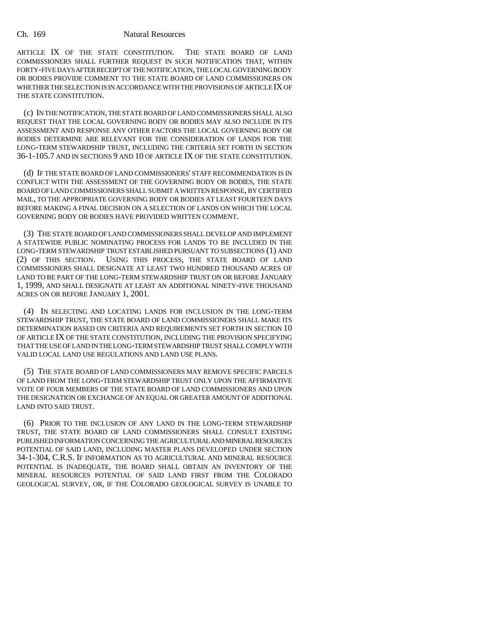ARTICLE IX OF THE STATE CONSTITUTION. THE STATE BOARD OF LAND COMMISSIONERS SHALL FURTHER REQUEST IN SUCH NOTIFICATION THAT, WITHIN FORTY-FIVE DAYS AFTER RECEIPT OF THE NOTIFICATION, THE LOCAL GOVERNING BODY OR BODIES PROVIDE COMMENT TO THE STATE BOARD OF LAND COMMISSIONERS ON WHETHER THE SELECTION IS IN ACCORDANCE WITH THE PROVISIONS OF ARTICLE IX OF THE STATE CONSTITUTION.

(c) IN THE NOTIFICATION, THE STATE BOARD OF LAND COMMISSIONERS SHALL ALSO REQUEST THAT THE LOCAL GOVERNING BODY OR BODIES MAY ALSO INCLUDE IN ITS ASSESSMENT AND RESPONSE ANY OTHER FACTORS THE LOCAL GOVERNING BODY OR BODIES DETERMINE ARE RELEVANT FOR THE CONSIDERATION OF LANDS FOR THE LONG-TERM STEWARDSHIP TRUST, INCLUDING THE CRITERIA SET FORTH IN SECTION 36-1-105.7 AND IN SECTIONS 9 AND 10 OF ARTICLE IX OF THE STATE CONSTITUTION.

(d) IF THE STATE BOARD OF LAND COMMISSIONERS' STAFF RECOMMENDATION IS IN CONFLICT WITH THE ASSESSMENT OF THE GOVERNING BODY OR BODIES, THE STATE BOARD OF LAND COMMISSIONERS SHALL SUBMIT A WRITTEN RESPONSE, BY CERTIFIED MAIL, TO THE APPROPRIATE GOVERNING BODY OR BODIES AT LEAST FOURTEEN DAYS BEFORE MAKING A FINAL DECISION ON A SELECTION OF LANDS ON WHICH THE LOCAL GOVERNING BODY OR BODIES HAVE PROVIDED WRITTEN COMMENT.

(3) THE STATE BOARD OF LAND COMMISSIONERS SHALL DEVELOP AND IMPLEMENT A STATEWIDE PUBLIC NOMINATING PROCESS FOR LANDS TO BE INCLUDED IN THE LONG-TERM STEWARDSHIP TRUST ESTABLISHED PURSUANT TO SUBSECTIONS (1) AND (2) OF THIS SECTION. USING THIS PROCESS, THE STATE BOARD OF LAND COMMISSIONERS SHALL DESIGNATE AT LEAST TWO HUNDRED THOUSAND ACRES OF LAND TO BE PART OF THE LONG-TERM STEWARDSHIP TRUST ON OR BEFORE JANUARY 1, 1999, AND SHALL DESIGNATE AT LEAST AN ADDITIONAL NINETY-FIVE THOUSAND ACRES ON OR BEFORE JANUARY 1, 2001.

(4) IN SELECTING AND LOCATING LANDS FOR INCLUSION IN THE LONG-TERM STEWARDSHIP TRUST, THE STATE BOARD OF LAND COMMISSIONERS SHALL MAKE ITS DETERMINATION BASED ON CRITERIA AND REQUIREMENTS SET FORTH IN SECTION 10 OF ARTICLE IX OF THE STATE CONSTITUTION, INCLUDING THE PROVISION SPECIFYING THAT THE USE OF LAND IN THE LONG-TERM STEWARDSHIP TRUST SHALL COMPLY WITH VALID LOCAL LAND USE REGULATIONS AND LAND USE PLANS.

(5) THE STATE BOARD OF LAND COMMISSIONERS MAY REMOVE SPECIFIC PARCELS OF LAND FROM THE LONG-TERM STEWARDSHIP TRUST ONLY UPON THE AFFIRMATIVE VOTE OF FOUR MEMBERS OF THE STATE BOARD OF LAND COMMISSIONERS AND UPON THE DESIGNATION OR EXCHANGE OF AN EQUAL OR GREATER AMOUNT OF ADDITIONAL LAND INTO SAID TRUST.

(6) PRIOR TO THE INCLUSION OF ANY LAND IN THE LONG-TERM STEWARDSHIP TRUST, THE STATE BOARD OF LAND COMMISSIONERS SHALL CONSULT EXISTING PUBLISHED INFORMATION CONCERNING THE AGRICULTURAL AND MINERAL RESOURCES POTENTIAL OF SAID LAND, INCLUDING MASTER PLANS DEVELOPED UNDER SECTION 34-1-304, C.R.S. IF INFORMATION AS TO AGRICULTURAL AND MINERAL RESOURCE POTENTIAL IS INADEQUATE, THE BOARD SHALL OBTAIN AN INVENTORY OF THE MINERAL RESOURCES POTENTIAL OF SAID LAND FIRST FROM THE COLORADO GEOLOGICAL SURVEY, OR, IF THE COLORADO GEOLOGICAL SURVEY IS UNABLE TO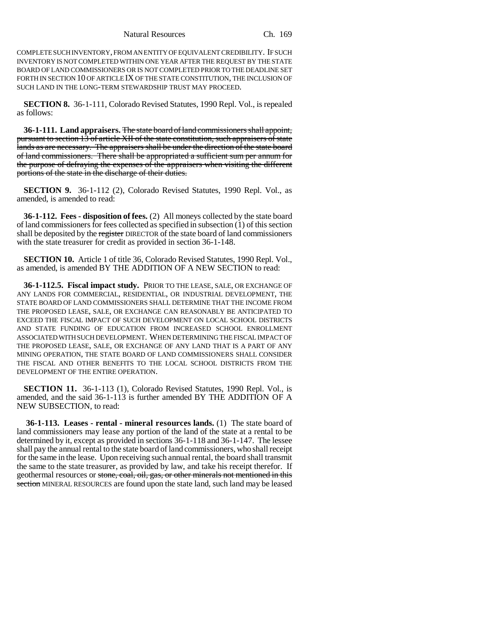COMPLETE SUCH INVENTORY, FROM AN ENTITY OF EQUIVALENT CREDIBILITY. IF SUCH INVENTORY IS NOT COMPLETED WITHIN ONE YEAR AFTER THE REQUEST BY THE STATE BOARD OF LAND COMMISSIONERS OR IS NOT COMPLETED PRIOR TO THE DEADLINE SET FORTH IN SECTION 10 OF ARTICLE IX OF THE STATE CONSTITUTION, THE INCLUSION OF SUCH LAND IN THE LONG-TERM STEWARDSHIP TRUST MAY PROCEED.

**SECTION 8.** 36-1-111, Colorado Revised Statutes, 1990 Repl. Vol., is repealed as follows:

**36-1-111. Land appraisers.** The state board of land commissioners shall appoint, pursuant to section 13 of article XII of the state constitution, such appraisers of state lands as are necessary. The appraisers shall be under the direction of the state board of land commissioners. There shall be appropriated a sufficient sum per annum for the purpose of defraying the expenses of the appraisers when visiting the different portions of the state in the discharge of their duties.

**SECTION 9.** 36-1-112 (2), Colorado Revised Statutes, 1990 Repl. Vol., as amended, is amended to read:

**36-1-112. Fees - disposition of fees.** (2) All moneys collected by the state board of land commissioners for fees collected as specified in subsection (1) of this section shall be deposited by the register DIRECTOR of the state board of land commissioners with the state treasurer for credit as provided in section 36-1-148.

**SECTION 10.** Article 1 of title 36, Colorado Revised Statutes, 1990 Repl. Vol., as amended, is amended BY THE ADDITION OF A NEW SECTION to read:

**36-1-112.5. Fiscal impact study.** PRIOR TO THE LEASE, SALE, OR EXCHANGE OF ANY LANDS FOR COMMERCIAL, RESIDENTIAL, OR INDUSTRIAL DEVELOPMENT, THE STATE BOARD OF LAND COMMISSIONERS SHALL DETERMINE THAT THE INCOME FROM THE PROPOSED LEASE, SALE, OR EXCHANGE CAN REASONABLY BE ANTICIPATED TO EXCEED THE FISCAL IMPACT OF SUCH DEVELOPMENT ON LOCAL SCHOOL DISTRICTS AND STATE FUNDING OF EDUCATION FROM INCREASED SCHOOL ENROLLMENT ASSOCIATED WITH SUCH DEVELOPMENT. WHEN DETERMINING THE FISCAL IMPACT OF THE PROPOSED LEASE, SALE, OR EXCHANGE OF ANY LAND THAT IS A PART OF ANY MINING OPERATION, THE STATE BOARD OF LAND COMMISSIONERS SHALL CONSIDER THE FISCAL AND OTHER BENEFITS TO THE LOCAL SCHOOL DISTRICTS FROM THE DEVELOPMENT OF THE ENTIRE OPERATION.

**SECTION 11.** 36-1-113 (1), Colorado Revised Statutes, 1990 Repl. Vol., is amended, and the said 36-1-113 is further amended BY THE ADDITION OF A NEW SUBSECTION, to read:

**36-1-113. Leases - rental - mineral resources lands.** (1) The state board of land commissioners may lease any portion of the land of the state at a rental to be determined by it, except as provided in sections 36-1-118 and 36-1-147. The lessee shall pay the annual rental to the state board of land commissioners, who shall receipt for the same in the lease. Upon receiving such annual rental, the board shall transmit the same to the state treasurer, as provided by law, and take his receipt therefor. If geothermal resources or stone, coal, oil, gas, or other minerals not mentioned in this section MINERAL RESOURCES are found upon the state land, such land may be leased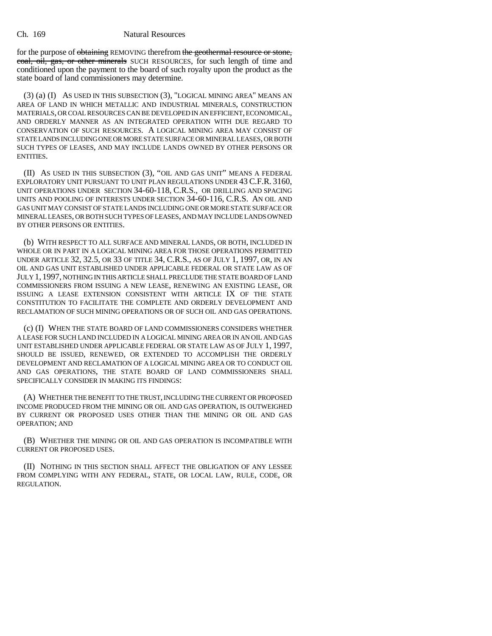for the purpose of obtaining REMOVING therefrom the geothermal resource or stone, coal, oil, gas, or other minerals SUCH RESOURCES, for such length of time and conditioned upon the payment to the board of such royalty upon the product as the state board of land commissioners may determine.

(3) (a) (I) AS USED IN THIS SUBSECTION (3), "LOGICAL MINING AREA" MEANS AN AREA OF LAND IN WHICH METALLIC AND INDUSTRIAL MINERALS, CONSTRUCTION MATERIALS, OR COAL RESOURCES CAN BE DEVELOPED IN AN EFFICIENT, ECONOMICAL, AND ORDERLY MANNER AS AN INTEGRATED OPERATION WITH DUE REGARD TO CONSERVATION OF SUCH RESOURCES. A LOGICAL MINING AREA MAY CONSIST OF STATE LANDS INCLUDING ONE OR MORE STATE SURFACE OR MINERAL LEASES, OR BOTH SUCH TYPES OF LEASES, AND MAY INCLUDE LANDS OWNED BY OTHER PERSONS OR ENTITIES.

(II) AS USED IN THIS SUBSECTION (3), "OIL AND GAS UNIT" MEANS A FEDERAL EXPLORATORY UNIT PURSUANT TO UNIT PLAN REGULATIONS UNDER 43 C.F.R. 3160, UNIT OPERATIONS UNDER SECTION 34-60-118, C.R.S., OR DRILLING AND SPACING UNITS AND POOLING OF INTERESTS UNDER SECTION 34-60-116, C.R.S. AN OIL AND GAS UNIT MAY CONSIST OF STATE LANDS INCLUDING ONE OR MORE STATE SURFACE OR MINERAL LEASES, OR BOTH SUCH TYPES OF LEASES, AND MAY INCLUDE LANDS OWNED BY OTHER PERSONS OR ENTITIES.

(b) WITH RESPECT TO ALL SURFACE AND MINERAL LANDS, OR BOTH, INCLUDED IN WHOLE OR IN PART IN A LOGICAL MINING AREA FOR THOSE OPERATIONS PERMITTED UNDER ARTICLE 32, 32.5, OR 33 OF TITLE 34, C.R.S., AS OF JULY 1, 1997, OR, IN AN OIL AND GAS UNIT ESTABLISHED UNDER APPLICABLE FEDERAL OR STATE LAW AS OF JULY 1, 1997, NOTHING IN THIS ARTICLE SHALL PRECLUDE THE STATE BOARD OF LAND COMMISSIONERS FROM ISSUING A NEW LEASE, RENEWING AN EXISTING LEASE, OR ISSUING A LEASE EXTENSION CONSISTENT WITH ARTICLE IX OF THE STATE CONSTITUTION TO FACILITATE THE COMPLETE AND ORDERLY DEVELOPMENT AND RECLAMATION OF SUCH MINING OPERATIONS OR OF SUCH OIL AND GAS OPERATIONS.

(c) (I) WHEN THE STATE BOARD OF LAND COMMISSIONERS CONSIDERS WHETHER A LEASE FOR SUCH LAND INCLUDED IN A LOGICAL MINING AREA OR IN AN OIL AND GAS UNIT ESTABLISHED UNDER APPLICABLE FEDERAL OR STATE LAW AS OF JULY 1, 1997, SHOULD BE ISSUED, RENEWED, OR EXTENDED TO ACCOMPLISH THE ORDERLY DEVELOPMENT AND RECLAMATION OF A LOGICAL MINING AREA OR TO CONDUCT OIL AND GAS OPERATIONS, THE STATE BOARD OF LAND COMMISSIONERS SHALL SPECIFICALLY CONSIDER IN MAKING ITS FINDINGS:

(A) WHETHER THE BENEFIT TO THE TRUST, INCLUDING THE CURRENT OR PROPOSED INCOME PRODUCED FROM THE MINING OR OIL AND GAS OPERATION, IS OUTWEIGHED BY CURRENT OR PROPOSED USES OTHER THAN THE MINING OR OIL AND GAS OPERATION; AND

(B) WHETHER THE MINING OR OIL AND GAS OPERATION IS INCOMPATIBLE WITH CURRENT OR PROPOSED USES.

(II) NOTHING IN THIS SECTION SHALL AFFECT THE OBLIGATION OF ANY LESSEE FROM COMPLYING WITH ANY FEDERAL, STATE, OR LOCAL LAW, RULE, CODE, OR REGULATION.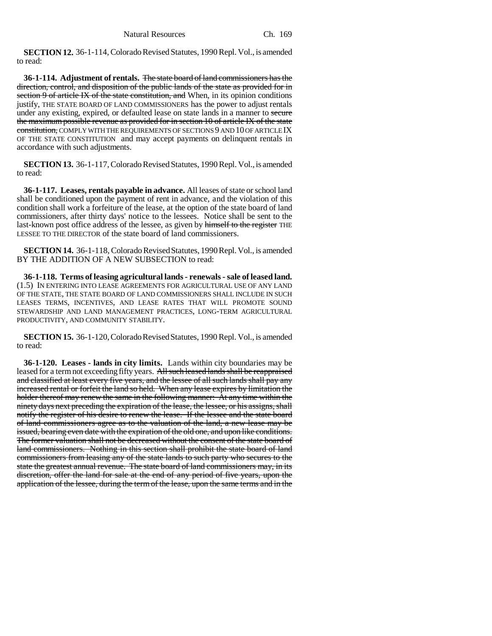**SECTION 12.** 36-1-114, Colorado Revised Statutes, 1990 Repl. Vol., is amended to read:

**36-1-114. Adjustment of rentals.** The state board of land commissioners has the direction, control, and disposition of the public lands of the state as provided for in section 9 of article IX of the state constitution, and When, in its opinion conditions justify, THE STATE BOARD OF LAND COMMISSIONERS has the power to adjust rentals under any existing, expired, or defaulted lease on state lands in a manner to secure the maximum possible revenue as provided for in section 10 of article IX of the state constitution, COMPLY WITH THE REQUIREMENTS OF SECTIONS 9 AND 10 OF ARTICLE IX OF THE STATE CONSTITUTION and may accept payments on delinquent rentals in accordance with such adjustments.

**SECTION 13.** 36-1-117, Colorado Revised Statutes, 1990 Repl. Vol., is amended to read:

**36-1-117. Leases, rentals payable in advance.** All leases of state or school land shall be conditioned upon the payment of rent in advance, and the violation of this condition shall work a forfeiture of the lease, at the option of the state board of land commissioners, after thirty days' notice to the lessees. Notice shall be sent to the last-known post office address of the lessee, as given by himself to the register THE LESSEE TO THE DIRECTOR of the state board of land commissioners.

**SECTION 14.** 36-1-118, Colorado Revised Statutes, 1990 Repl. Vol., is amended BY THE ADDITION OF A NEW SUBSECTION to read:

**36-1-118. Terms of leasing agricultural lands - renewals - sale of leased land.** (1.5) IN ENTERING INTO LEASE AGREEMENTS FOR AGRICULTURAL USE OF ANY LAND OF THE STATE, THE STATE BOARD OF LAND COMMISSIONERS SHALL INCLUDE IN SUCH LEASES TERMS, INCENTIVES, AND LEASE RATES THAT WILL PROMOTE SOUND STEWARDSHIP AND LAND MANAGEMENT PRACTICES, LONG-TERM AGRICULTURAL PRODUCTIVITY, AND COMMUNITY STABILITY.

**SECTION 15.** 36-1-120, Colorado Revised Statutes, 1990 Repl. Vol., is amended to read:

**36-1-120. Leases - lands in city limits.** Lands within city boundaries may be leased for a term not exceeding fifty years. All such leased lands shall be reappraised and classified at least every five years, and the lessee of all such lands shall pay any increased rental or forfeit the land so held. When any lease expires by limitation the holder thereof may renew the same in the following manner: At any time within the ninety days next preceding the expiration of the lease, the lessee, or his assigns, shall notify the register of his desire to renew the lease. If the lessee and the state board of land commissioners agree as to the valuation of the land, a new lease may be issued, bearing even date with the expiration of the old one, and upon like conditions. The former valuation shall not be decreased without the consent of the state board of land commissioners. Nothing in this section shall prohibit the state board of land commissioners from leasing any of the state lands to such party who secures to the state the greatest annual revenue. The state board of land commissioners may, in its discretion, offer the land for sale at the end of any period of five years, upon the application of the lessee, during the term of the lease, upon the same terms and in the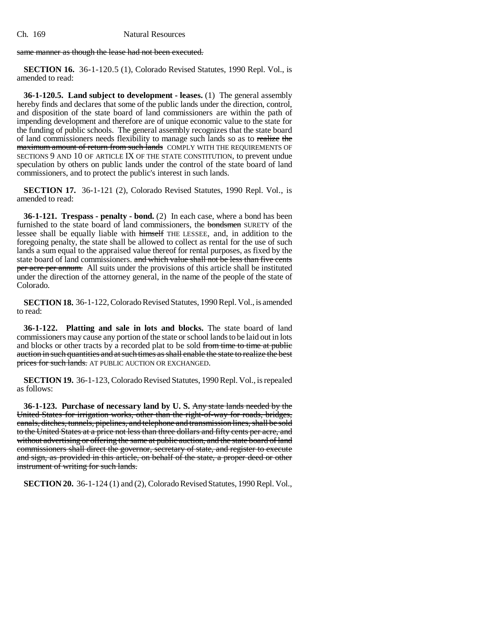same manner as though the lease had not been executed.

**SECTION 16.** 36-1-120.5 (1), Colorado Revised Statutes, 1990 Repl. Vol., is amended to read:

**36-1-120.5. Land subject to development - leases.** (1) The general assembly hereby finds and declares that some of the public lands under the direction, control, and disposition of the state board of land commissioners are within the path of impending development and therefore are of unique economic value to the state for the funding of public schools. The general assembly recognizes that the state board of land commissioners needs flexibility to manage such lands so as to realize the maximum amount of return from such lands COMPLY WITH THE REQUIREMENTS OF SECTIONS 9 AND 10 OF ARTICLE IX OF THE STATE CONSTITUTION, to prevent undue speculation by others on public lands under the control of the state board of land commissioners, and to protect the public's interest in such lands.

**SECTION 17.** 36-1-121 (2), Colorado Revised Statutes, 1990 Repl. Vol., is amended to read:

**36-1-121. Trespass - penalty - bond.** (2) In each case, where a bond has been furnished to the state board of land commissioners, the bondsmen SURETY of the lessee shall be equally liable with himself THE LESSEE, and, in addition to the foregoing penalty, the state shall be allowed to collect as rental for the use of such lands a sum equal to the appraised value thereof for rental purposes, as fixed by the state board of land commissioners. and which value shall not be less than five cents per acre per annum. All suits under the provisions of this article shall be instituted under the direction of the attorney general, in the name of the people of the state of Colorado.

**SECTION 18.** 36-1-122, Colorado Revised Statutes, 1990 Repl. Vol., is amended to read:

**36-1-122. Platting and sale in lots and blocks.** The state board of land commissioners may cause any portion of the state or school lands to be laid out in lots and blocks or other tracts by a recorded plat to be sold from time to time at public auction in such quantities and at such times as shall enable the state to realize the best prices for such lands. AT PUBLIC AUCTION OR EXCHANGED.

**SECTION 19.** 36-1-123, Colorado Revised Statutes, 1990 Repl. Vol., is repealed as follows:

**36-1-123. Purchase of necessary land by U. S.** Any state lands needed by the United States for irrigation works, other than the right-of-way for roads, bridges, canals, ditches, tunnels, pipelines, and telephone and transmission lines, shall be sold to the United States at a price not less than three dollars and fifty cents per acre, and without advertising or offering the same at public auction, and the state board of land commissioners shall direct the governor, secretary of state, and register to execute and sign, as provided in this article, on behalf of the state, a proper deed or other instrument of writing for such lands.

**SECTION 20.** 36-1-124 (1) and (2), Colorado Revised Statutes, 1990 Repl. Vol.,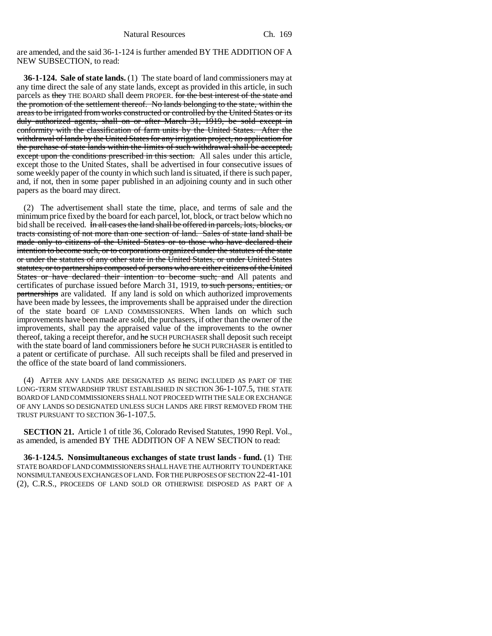are amended, and the said 36-1-124 is further amended BY THE ADDITION OF A NEW SUBSECTION, to read:

**36-1-124. Sale of state lands.** (1) The state board of land commissioners may at any time direct the sale of any state lands, except as provided in this article, in such parcels as they THE BOARD shall deem PROPER. for the best interest of the state and the promotion of the settlement thereof. No lands belonging to the state, within the areas to be irrigated from works constructed or controlled by the United States or its duly authorized agents, shall on or after March 31, 1919, be sold except in conformity with the classification of farm units by the United States. After the withdrawal of lands by the United States for any irrigation project, no application for the purchase of state lands within the limits of such withdrawal shall be accepted, except upon the conditions prescribed in this section. All sales under this article, except those to the United States, shall be advertised in four consecutive issues of some weekly paper of the county in which such land is situated, if there is such paper, and, if not, then in some paper published in an adjoining county and in such other papers as the board may direct.

(2) The advertisement shall state the time, place, and terms of sale and the minimum price fixed by the board for each parcel, lot, block, or tract below which no bid shall be received. In all cases the land shall be offered in parcels, lots, blocks, or tracts consisting of not more than one section of land. Sales of state land shall be made only to citizens of the United States or to those who have declared their intention to become such, or to corporations organized under the statutes of the state or under the statutes of any other state in the United States, or under United States statutes, or to partnerships composed of persons who are either citizens of the United States or have declared their intention to become such; and All patents and certificates of purchase issued before March 31, 1919, to such persons, entities, or partnerships are validated. If any land is sold on which authorized improvements have been made by lessees, the improvements shall be appraised under the direction of the state board OF LAND COMMISSIONERS. When lands on which such improvements have been made are sold, the purchasers, if other than the owner of the improvements, shall pay the appraised value of the improvements to the owner thereof, taking a receipt therefor, and he SUCH PURCHASER shall deposit such receipt with the state board of land commissioners before he SUCH PURCHASER is entitled to a patent or certificate of purchase. All such receipts shall be filed and preserved in the office of the state board of land commissioners.

(4) AFTER ANY LANDS ARE DESIGNATED AS BEING INCLUDED AS PART OF THE LONG-TERM STEWARDSHIP TRUST ESTABLISHED IN SECTION 36-1-107.5, THE STATE BOARD OF LAND COMMISSIONERS SHALL NOT PROCEED WITH THE SALE OR EXCHANGE OF ANY LANDS SO DESIGNATED UNLESS SUCH LANDS ARE FIRST REMOVED FROM THE TRUST PURSUANT TO SECTION 36-1-107.5.

**SECTION 21.** Article 1 of title 36, Colorado Revised Statutes, 1990 Repl. Vol., as amended, is amended BY THE ADDITION OF A NEW SECTION to read:

**36-1-124.5. Nonsimultaneous exchanges of state trust lands - fund.** (1) THE STATE BOARD OF LAND COMMISSIONERS SHALL HAVE THE AUTHORITY TO UNDERTAKE NONSIMULTANEOUS EXCHANGES OF LAND. FOR THE PURPOSES OF SECTION 22-41-101 (2), C.R.S., PROCEEDS OF LAND SOLD OR OTHERWISE DISPOSED AS PART OF A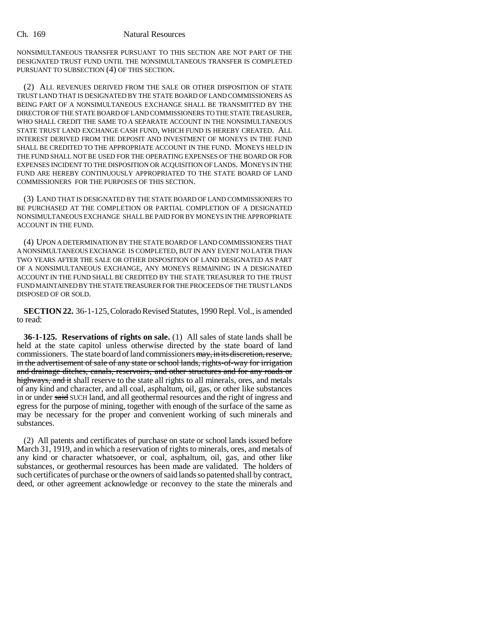NONSIMULTANEOUS TRANSFER PURSUANT TO THIS SECTION ARE NOT PART OF THE DESIGNATED TRUST FUND UNTIL THE NONSIMULTANEOUS TRANSFER IS COMPLETED PURSUANT TO SUBSECTION (4) OF THIS SECTION.

(2) ALL REVENUES DERIVED FROM THE SALE OR OTHER DISPOSITION OF STATE TRUST LAND THAT IS DESIGNATED BY THE STATE BOARD OF LAND COMMISSIONERS AS BEING PART OF A NONSIMULTANEOUS EXCHANGE SHALL BE TRANSMITTED BY THE DIRECTOR OF THE STATE BOARD OF LAND COMMISSIONERS TO THE STATE TREASURER, WHO SHALL CREDIT THE SAME TO A SEPARATE ACCOUNT IN THE NONSIMULTANEOUS STATE TRUST LAND EXCHANGE CASH FUND, WHICH FUND IS HEREBY CREATED. ALL INTEREST DERIVED FROM THE DEPOSIT AND INVESTMENT OF MONEYS IN THE FUND SHALL BE CREDITED TO THE APPROPRIATE ACCOUNT IN THE FUND. MONEYS HELD IN THE FUND SHALL NOT BE USED FOR THE OPERATING EXPENSES OF THE BOARD OR FOR EXPENSES INCIDENT TO THE DISPOSITION OR ACQUISITION OF LANDS. MONEYS IN THE FUND ARE HEREBY CONTINUOUSLY APPROPRIATED TO THE STATE BOARD OF LAND COMMISSIONERS FOR THE PURPOSES OF THIS SECTION.

(3) LAND THAT IS DESIGNATED BY THE STATE BOARD OF LAND COMMISSIONERS TO BE PURCHASED AT THE COMPLETION OR PARTIAL COMPLETION OF A DESIGNATED NONSIMULTANEOUS EXCHANGE SHALL BE PAID FOR BY MONEYS IN THE APPROPRIATE ACCOUNT IN THE FUND.

(4) UPON A DETERMINATION BY THE STATE BOARD OF LAND COMMISSIONERS THAT A NONSIMULTANEOUS EXCHANGE IS COMPLETED, BUT IN ANY EVENT NO LATER THAN TWO YEARS AFTER THE SALE OR OTHER DISPOSITION OF LAND DESIGNATED AS PART OF A NONSIMULTANEOUS EXCHANGE, ANY MONEYS REMAINING IN A DESIGNATED ACCOUNT IN THE FUND SHALL BE CREDITED BY THE STATE TREASURER TO THE TRUST FUND MAINTAINED BY THE STATE TREASURER FOR THE PROCEEDS OF THE TRUST LANDS DISPOSED OF OR SOLD.

**SECTION 22.** 36-1-125, Colorado Revised Statutes, 1990 Repl. Vol., is amended to read:

**36-1-125. Reservations of rights on sale.** (1) All sales of state lands shall be held at the state capitol unless otherwise directed by the state board of land commissioners. The state board of land commissioners may, in its discretion, reserve, in the advertisement of sale of any state or school lands, rights-of-way for irrigation and drainage ditches, canals, reservoirs, and other structures and for any roads or highways, and it shall reserve to the state all rights to all minerals, ores, and metals of any kind and character, and all coal, asphaltum, oil, gas, or other like substances in or under said SUCH land, and all geothermal resources and the right of ingress and egress for the purpose of mining, together with enough of the surface of the same as may be necessary for the proper and convenient working of such minerals and substances.

(2) All patents and certificates of purchase on state or school lands issued before March 31, 1919, and in which a reservation of rights to minerals, ores, and metals of any kind or character whatsoever, or coal, asphaltum, oil, gas, and other like substances, or geothermal resources has been made are validated. The holders of such certificates of purchase or the owners of said lands so patented shall by contract, deed, or other agreement acknowledge or reconvey to the state the minerals and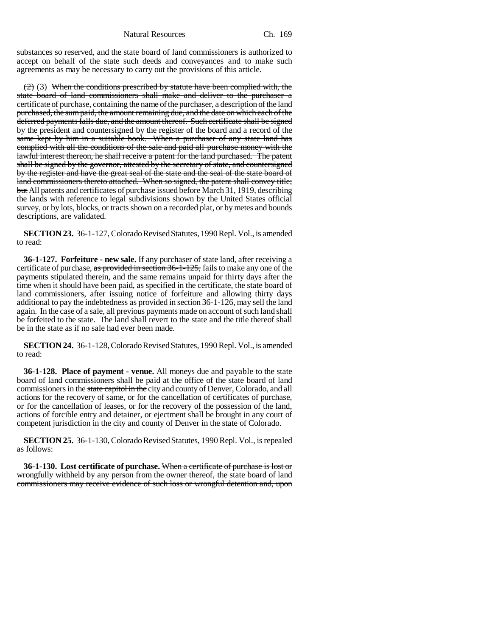substances so reserved, and the state board of land commissioners is authorized to accept on behalf of the state such deeds and conveyances and to make such agreements as may be necessary to carry out the provisions of this article.

 $(2)$  (3) When the conditions prescribed by statute have been complied with, the state board of land commissioners shall make and deliver to the purchaser a certificate of purchase, containing the name of the purchaser, a description of the land purchased, the sum paid, the amount remaining due, and the date on which each of the deferred payments falls due, and the amount thereof. Such certificate shall be signed by the president and countersigned by the register of the board and a record of the same kept by him in a suitable book. When a purchaser of any state land has complied with all the conditions of the sale and paid all purchase money with the lawful interest thereon, he shall receive a patent for the land purchased. The patent shall be signed by the governor, attested by the secretary of state, and countersigned by the register and have the great seal of the state and the seal of the state board of land commissioners thereto attached. When so signed, the patent shall convey title; but All patents and certificates of purchase issued before March 31, 1919, describing the lands with reference to legal subdivisions shown by the United States official survey, or by lots, blocks, or tracts shown on a recorded plat, or by metes and bounds descriptions, are validated.

**SECTION 23.** 36-1-127, Colorado Revised Statutes, 1990 Repl. Vol., is amended to read:

**36-1-127. Forfeiture - new sale.** If any purchaser of state land, after receiving a certificate of purchase, as provided in section 36-1-125, fails to make any one of the payments stipulated therein, and the same remains unpaid for thirty days after the time when it should have been paid, as specified in the certificate, the state board of land commissioners, after issuing notice of forfeiture and allowing thirty days additional to pay the indebtedness as provided in section 36-1-126, may sell the land again. In the case of a sale, all previous payments made on account of such land shall be forfeited to the state. The land shall revert to the state and the title thereof shall be in the state as if no sale had ever been made.

**SECTION 24.** 36-1-128, Colorado Revised Statutes, 1990 Repl. Vol., is amended to read:

**36-1-128. Place of payment - venue.** All moneys due and payable to the state board of land commissioners shall be paid at the office of the state board of land commissioners in the state capitol in the city and county of Denver, Colorado, and all actions for the recovery of same, or for the cancellation of certificates of purchase, or for the cancellation of leases, or for the recovery of the possession of the land, actions of forcible entry and detainer, or ejectment shall be brought in any court of competent jurisdiction in the city and county of Denver in the state of Colorado.

**SECTION 25.** 36-1-130, Colorado Revised Statutes, 1990 Repl. Vol., is repealed as follows:

**36-1-130. Lost certificate of purchase.** When a certificate of purchase is lost or wrongfully withheld by any person from the owner thereof, the state board of land commissioners may receive evidence of such loss or wrongful detention and, upon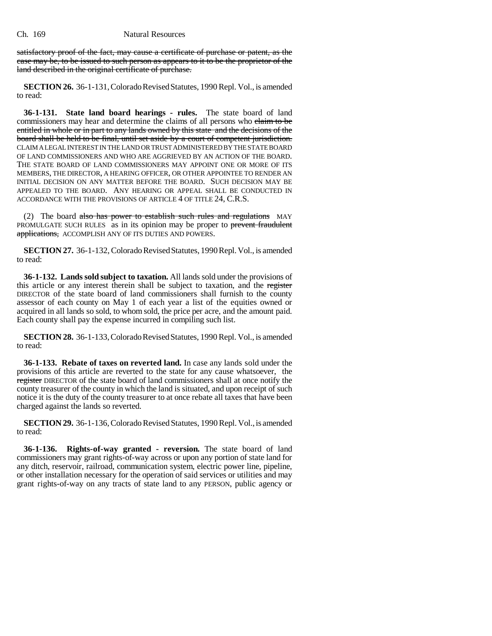satisfactory proof of the fact, may cause a certificate of purchase or patent, as the case may be, to be issued to such person as appears to it to be the proprietor of the land described in the original certificate of purchase.

**SECTION 26.** 36-1-131, Colorado Revised Statutes, 1990 Repl. Vol., is amended to read:

**36-1-131. State land board hearings - rules.** The state board of land commissioners may hear and determine the claims of all persons who claim to be entitled in whole or in part to any lands owned by this state and the decisions of the board shall be held to be final, until set aside by a court of competent jurisdiction. CLAIM A LEGAL INTEREST IN THE LAND OR TRUST ADMINISTERED BY THE STATE BOARD OF LAND COMMISSIONERS AND WHO ARE AGGRIEVED BY AN ACTION OF THE BOARD. THE STATE BOARD OF LAND COMMISSIONERS MAY APPOINT ONE OR MORE OF ITS MEMBERS, THE DIRECTOR, A HEARING OFFICER, OR OTHER APPOINTEE TO RENDER AN INITIAL DECISION ON ANY MATTER BEFORE THE BOARD. SUCH DECISION MAY BE APPEALED TO THE BOARD. ANY HEARING OR APPEAL SHALL BE CONDUCTED IN ACCORDANCE WITH THE PROVISIONS OF ARTICLE 4 OF TITLE 24, C.R.S.

(2) The board also has power to establish such rules and regulations MAY PROMULGATE SUCH RULES as in its opinion may be proper to prevent fraudulent applications, ACCOMPLISH ANY OF ITS DUTIES AND POWERS.

**SECTION 27.** 36-1-132, Colorado Revised Statutes, 1990 Repl. Vol., is amended to read:

**36-1-132. Lands sold subject to taxation.** All lands sold under the provisions of this article or any interest therein shall be subject to taxation, and the register DIRECTOR of the state board of land commissioners shall furnish to the county assessor of each county on May 1 of each year a list of the equities owned or acquired in all lands so sold, to whom sold, the price per acre, and the amount paid. Each county shall pay the expense incurred in compiling such list.

**SECTION 28.** 36-1-133, Colorado Revised Statutes, 1990 Repl. Vol., is amended to read:

**36-1-133. Rebate of taxes on reverted land.** In case any lands sold under the provisions of this article are reverted to the state for any cause whatsoever, the register DIRECTOR of the state board of land commissioners shall at once notify the county treasurer of the county in which the land is situated, and upon receipt of such notice it is the duty of the county treasurer to at once rebate all taxes that have been charged against the lands so reverted.

**SECTION 29.** 36-1-136, Colorado Revised Statutes, 1990 Repl. Vol., is amended to read:

**36-1-136. Rights-of-way granted - reversion.** The state board of land commissioners may grant rights-of-way across or upon any portion of state land for any ditch, reservoir, railroad, communication system, electric power line, pipeline, or other installation necessary for the operation of said services or utilities and may grant rights-of-way on any tracts of state land to any PERSON, public agency or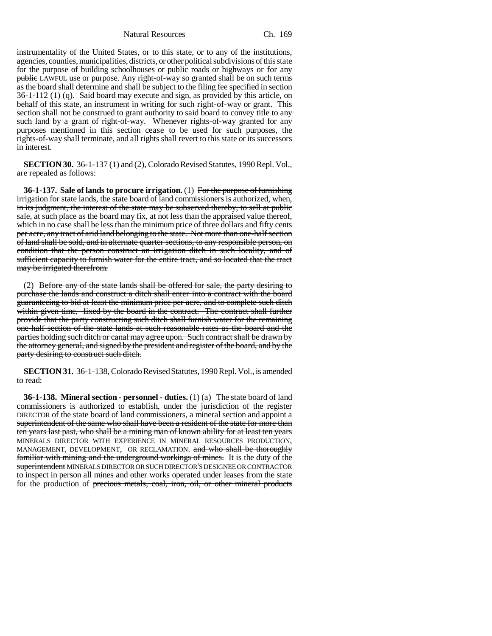Natural Resources Ch. 169

instrumentality of the United States, or to this state, or to any of the institutions, agencies, counties, municipalities, districts, or other political subdivisions of this state for the purpose of building schoolhouses or public roads or highways or for any public LAWFUL use or purpose. Any right-of-way so granted shall be on such terms as the board shall determine and shall be subject to the filing fee specified in section 36-1-112 (1) (q). Said board may execute and sign, as provided by this article, on behalf of this state, an instrument in writing for such right-of-way or grant. This section shall not be construed to grant authority to said board to convey title to any such land by a grant of right-of-way. Whenever rights-of-way granted for any purposes mentioned in this section cease to be used for such purposes, the rights-of-way shall terminate, and all rights shall revert to this state or its successors in interest.

**SECTION 30.** 36-1-137 (1) and (2), Colorado Revised Statutes, 1990 Repl. Vol., are repealed as follows:

**36-1-137. Sale of lands to procure irrigation.** (1) For the purpose of furnishing irrigation for state lands, the state board of land commissioners is authorized, when, in its judgment, the interest of the state may be subserved thereby, to sell at public sale, at such place as the board may fix, at not less than the appraised value thereof, which in no case shall be less than the minimum price of three dollars and fifty cents per acre, any tract of arid land belonging to the state. Not more than one-half section of land shall be sold, and in alternate quarter sections, to any responsible person, on condition that the person construct an irrigation ditch in such locality, and of sufficient capacity to furnish water for the entire tract, and so located that the tract may be irrigated therefrom.

(2) Before any of the state lands shall be offered for sale, the party desiring to purchase the lands and construct a ditch shall enter into a contract with the board guaranteeing to bid at least the minimum price per acre, and to complete such ditch within given time, fixed by the board in the contract. The contract shall further provide that the party constructing such ditch shall furnish water for the remaining one-half section of the state lands at such reasonable rates as the board and the parties holding such ditch or canal may agree upon. Such contract shall be drawn by the attorney general, and signed by the president and register of the board, and by the party desiring to construct such ditch.

**SECTION 31.** 36-1-138, Colorado Revised Statutes, 1990 Repl. Vol., is amended to read:

**36-1-138. Mineral section - personnel - duties.** (1) (a) The state board of land commissioners is authorized to establish, under the jurisdiction of the register DIRECTOR of the state board of land commissioners, a mineral section and appoint a superintendent of the same who shall have been a resident of the state for more than ten years last past, who shall be a mining man of known ability for at least ten years MINERALS DIRECTOR WITH EXPERIENCE IN MINERAL RESOURCES PRODUCTION, MANAGEMENT, DEVELOPMENT, OR RECLAMATION. and who shall be thoroughly familiar with mining and the underground workings of mines. It is the duty of the superintendent MINERALS DIRECTOR OR SUCH DIRECTOR'S DESIGNEE OR CONTRACTOR to inspect in person all mines and other works operated under leases from the state for the production of precious metals, coal, iron, oil, or other mineral products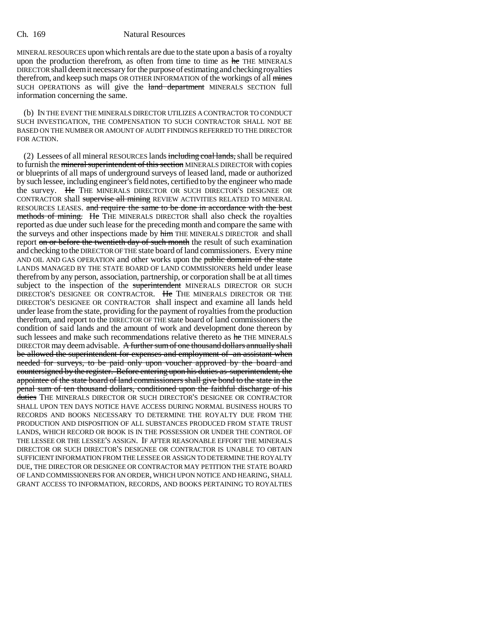MINERAL RESOURCES upon which rentals are due to the state upon a basis of a royalty upon the production therefrom, as often from time to time as he THE MINERALS DIRECTOR shall deem it necessary for the purpose of estimating and checking royalties therefrom, and keep such maps OR OTHER INFORMATION of the workings of all mines SUCH OPERATIONS as will give the land department MINERALS SECTION full information concerning the same.

(b) IN THE EVENT THE MINERALS DIRECTOR UTILIZES A CONTRACTOR TO CONDUCT SUCH INVESTIGATION, THE COMPENSATION TO SUCH CONTRACTOR SHALL NOT BE BASED ON THE NUMBER OR AMOUNT OF AUDIT FINDINGS REFERRED TO THE DIRECTOR FOR ACTION.

(2) Lessees of all mineral RESOURCES lands including coal lands, shall be required to furnish the mineral superintendent of this section MINERALS DIRECTOR with copies or blueprints of all maps of underground surveys of leased land, made or authorized by such lessee, including engineer's field notes, certified to by the engineer who made the survey. He THE MINERALS DIRECTOR OR SUCH DIRECTOR'S DESIGNEE OR CONTRACTOR shall supervise all mining REVIEW ACTIVITIES RELATED TO MINERAL RESOURCES LEASES. and require the same to be done in accordance with the best methods of mining. He THE MINERALS DIRECTOR shall also check the royalties reported as due under such lease for the preceding month and compare the same with the surveys and other inspections made by him THE MINERALS DIRECTOR and shall report on or before the twentieth day of such month the result of such examination and checking to the DIRECTOR OF THE state board of land commissioners. Every mine AND OIL AND GAS OPERATION and other works upon the public domain of the state LANDS MANAGED BY THE STATE BOARD OF LAND COMMISSIONERS held under lease therefrom by any person, association, partnership, or corporation shall be at all times subject to the inspection of the superintendent MINERALS DIRECTOR OR SUCH DIRECTOR'S DESIGNEE OR CONTRACTOR. He THE MINERALS DIRECTOR OR THE DIRECTOR'S DESIGNEE OR CONTRACTOR shall inspect and examine all lands held under lease from the state, providing for the payment of royalties from the production therefrom, and report to the DIRECTOR OF THE state board of land commissioners the condition of said lands and the amount of work and development done thereon by such lessees and make such recommendations relative thereto as he THE MINERALS DIRECTOR may deem advisable. A further sum of one thousand dollars annually shall be allowed the superintendent for expenses and employment of an assistant when needed for surveys, to be paid only upon voucher approved by the board and countersigned by the register. Before entering upon his duties as superintendent, the appointee of the state board of land commissioners shall give bond to the state in the penal sum of ten thousand dollars, conditioned upon the faithful discharge of his duties THE MINERALS DIRECTOR OR SUCH DIRECTOR'S DESIGNEE OR CONTRACTOR SHALL UPON TEN DAYS NOTICE HAVE ACCESS DURING NORMAL BUSINESS HOURS TO RECORDS AND BOOKS NECESSARY TO DETERMINE THE ROYALTY DUE FROM THE PRODUCTION AND DISPOSITION OF ALL SUBSTANCES PRODUCED FROM STATE TRUST LANDS, WHICH RECORD OR BOOK IS IN THE POSSESSION OR UNDER THE CONTROL OF THE LESSEE OR THE LESSEE'S ASSIGN. IF AFTER REASONABLE EFFORT THE MINERALS DIRECTOR OR SUCH DIRECTOR'S DESIGNEE OR CONTRACTOR IS UNABLE TO OBTAIN SUFFICIENT INFORMATION FROM THE LESSEE OR ASSIGN TO DETERMINE THE ROYALTY DUE, THE DIRECTOR OR DESIGNEE OR CONTRACTOR MAY PETITION THE STATE BOARD OF LAND COMMISSIONERS FOR AN ORDER, WHICH UPON NOTICE AND HEARING, SHALL GRANT ACCESS TO INFORMATION, RECORDS, AND BOOKS PERTAINING TO ROYALTIES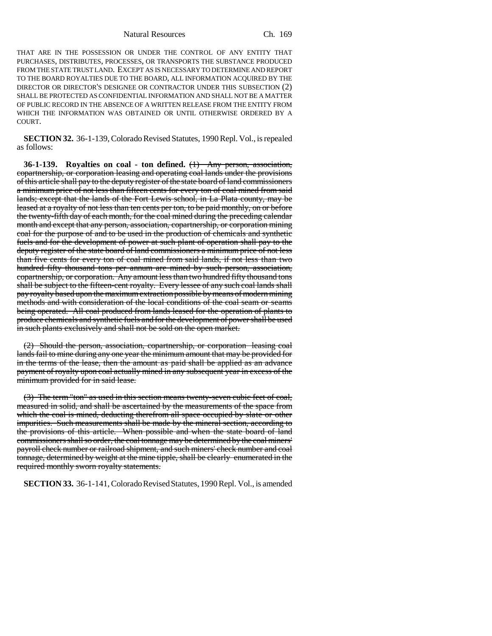Natural Resources Ch. 169

THAT ARE IN THE POSSESSION OR UNDER THE CONTROL OF ANY ENTITY THAT PURCHASES, DISTRIBUTES, PROCESSES, OR TRANSPORTS THE SUBSTANCE PRODUCED FROM THE STATE TRUST LAND. EXCEPT AS IS NECESSARY TO DETERMINE AND REPORT TO THE BOARD ROYALTIES DUE TO THE BOARD, ALL INFORMATION ACQUIRED BY THE DIRECTOR OR DIRECTOR'S DESIGNEE OR CONTRACTOR UNDER THIS SUBSECTION (2) SHALL BE PROTECTED AS CONFIDENTIAL INFORMATION AND SHALL NOT BE A MATTER OF PUBLIC RECORD IN THE ABSENCE OF A WRITTEN RELEASE FROM THE ENTITY FROM WHICH THE INFORMATION WAS OBTAINED OR UNTIL OTHERWISE ORDERED BY A COURT.

**SECTION 32.** 36-1-139, Colorado Revised Statutes, 1990 Repl. Vol., is repealed as follows:

**36-1-139. Royalties on coal - ton defined.** (1) Any person, association, copartnership, or corporation leasing and operating coal lands under the provisions of this article shall pay to the deputy register of the state board of land commissioners a minimum price of not less than fifteen cents for every ton of coal mined from said lands; except that the lands of the Fort Lewis school, in La Plata county, may be leased at a royalty of not less than ten cents per ton, to be paid monthly, on or before the twenty-fifth day of each month, for the coal mined during the preceding calendar month and except that any person, association, copartnership, or corporation mining coal for the purpose of and to be used in the production of chemicals and synthetic fuels and for the development of power at such plant of operation shall pay to the deputy register of the state board of land commissioners a minimum price of not less than five cents for every ton of coal mined from said lands, if not less than two hundred fifty thousand tons per annum are mined by such person, association, copartnership, or corporation. Any amount less than two hundred fifty thousand tons shall be subject to the fifteen-cent royalty. Every lessee of any such coal lands shall pay royalty based upon the maximum extraction possible by means of modern mining methods and with consideration of the local conditions of the coal seam or seams being operated. All coal produced from lands leased for the operation of plants to produce chemicals and synthetic fuels and for the development of power shall be used in such plants exclusively and shall not be sold on the open market.

(2) Should the person, association, copartnership, or corporation leasing coal lands fail to mine during any one year the minimum amount that may be provided for in the terms of the lease, then the amount as paid shall be applied as an advance payment of royalty upon coal actually mined in any subsequent year in excess of the minimum provided for in said lease.

(3) The term "ton" as used in this section means twenty-seven cubic feet of coal, measured in solid, and shall be ascertained by the measurements of the space from which the coal is mined, deducting therefrom all space occupied by slate or other impurities. Such measurements shall be made by the mineral section, according to the provisions of this article. When possible and when the state board of land commissioners shall so order, the coal tonnage may be determined by the coal miners' payroll check number or railroad shipment, and such miners' check number and coal tonnage, determined by weight at the mine tipple, shall be clearly enumerated in the required monthly sworn royalty statements.

**SECTION 33.** 36-1-141, Colorado Revised Statutes, 1990 Repl. Vol., is amended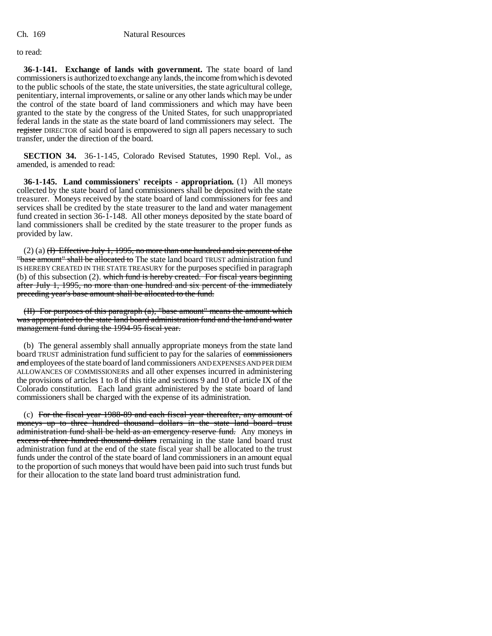to read:

**36-1-141. Exchange of lands with government.** The state board of land commissioners is authorized to exchange any lands, the income from which is devoted to the public schools of the state, the state universities, the state agricultural college, penitentiary, internal improvements, or saline or any other lands which may be under the control of the state board of land commissioners and which may have been granted to the state by the congress of the United States, for such unappropriated federal lands in the state as the state board of land commissioners may select. The register DIRECTOR of said board is empowered to sign all papers necessary to such transfer, under the direction of the board.

**SECTION 34.** 36-1-145, Colorado Revised Statutes, 1990 Repl. Vol., as amended, is amended to read:

**36-1-145. Land commissioners' receipts - appropriation.** (1) All moneys collected by the state board of land commissioners shall be deposited with the state treasurer. Moneys received by the state board of land commissioners for fees and services shall be credited by the state treasurer to the land and water management fund created in section 36-1-148. All other moneys deposited by the state board of land commissioners shall be credited by the state treasurer to the proper funds as provided by law.

 $(2)$  (a)  $(H)$  Effective July 1, 1995, no more than one hundred and six percent of the "base amount" shall be allocated to The state land board TRUST administration fund IS HEREBY CREATED IN THE STATE TREASURY for the purposes specified in paragraph (b) of this subsection  $(2)$ . which fund is hereby created. For fiscal years beginning after July 1, 1995, no more than one hundred and six percent of the immediately preceding year's base amount shall be allocated to the fund.

(II) For purposes of this paragraph (a), "base amount" means the amount which was appropriated to the state land board administration fund and the land and water management fund during the 1994-95 fiscal year.

(b) The general assembly shall annually appropriate moneys from the state land board TRUST administration fund sufficient to pay for the salaries of commissioners and employees of the state board of land commissioners AND EXPENSES AND PER DIEM ALLOWANCES OF COMMISSIONERS and all other expenses incurred in administering the provisions of articles 1 to 8 of this title and sections 9 and 10 of article IX of the Colorado constitution. Each land grant administered by the state board of land commissioners shall be charged with the expense of its administration.

(c) For the fiscal year 1988-89 and each fiscal year thereafter, any amount of moneys up to three hundred thousand dollars in the state land board trust administration fund shall be held as an emergency reserve fund. Any moneys in excess of three hundred thousand dollars remaining in the state land board trust administration fund at the end of the state fiscal year shall be allocated to the trust funds under the control of the state board of land commissioners in an amount equal to the proportion of such moneys that would have been paid into such trust funds but for their allocation to the state land board trust administration fund.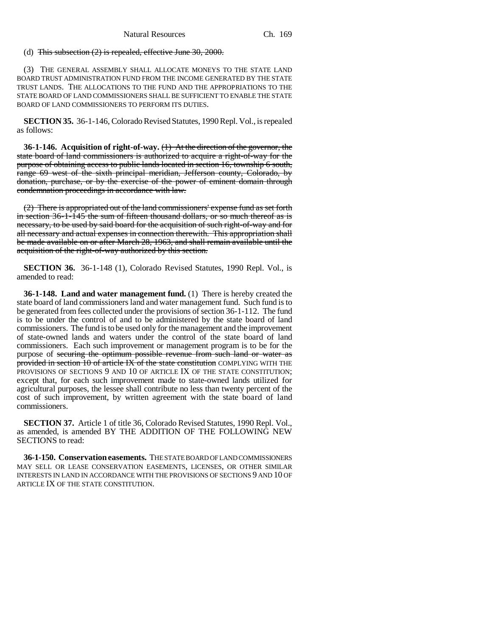# (d) This subsection  $(2)$  is repealed, effective June 30, 2000.

(3) THE GENERAL ASSEMBLY SHALL ALLOCATE MONEYS TO THE STATE LAND BOARD TRUST ADMINISTRATION FUND FROM THE INCOME GENERATED BY THE STATE TRUST LANDS. THE ALLOCATIONS TO THE FUND AND THE APPROPRIATIONS TO THE STATE BOARD OF LAND COMMISSIONERS SHALL BE SUFFICIENT TO ENABLE THE STATE BOARD OF LAND COMMISSIONERS TO PERFORM ITS DUTIES.

**SECTION 35.** 36-1-146, Colorado Revised Statutes, 1990 Repl. Vol., is repealed as follows:

**36-1-146. Acquisition of right-of-way.** (1) At the direction of the governor, the state board of land commissioners is authorized to acquire a right-of-way for the purpose of obtaining access to public lands located in section 16, township 6 south, range 69 west of the sixth principal meridian, Jefferson county, Colorado, by donation, purchase, or by the exercise of the power of eminent domain through condemnation proceedings in accordance with law.

(2) There is appropriated out of the land commissioners' expense fund as set forth in section 36-1-145 the sum of fifteen thousand dollars, or so much thereof as is necessary, to be used by said board for the acquisition of such right-of-way and for all necessary and actual expenses in connection therewith. This appropriation shall be made available on or after March 28, 1963, and shall remain available until the acquisition of the right-of-way authorized by this section.

**SECTION 36.** 36-1-148 (1), Colorado Revised Statutes, 1990 Repl. Vol., is amended to read:

**36-1-148. Land and water management fund.** (1) There is hereby created the state board of land commissioners land and water management fund. Such fund is to be generated from fees collected under the provisions of section 36-1-112. The fund is to be under the control of and to be administered by the state board of land commissioners. The fund is to be used only for the management and the improvement of state-owned lands and waters under the control of the state board of land commissioners. Each such improvement or management program is to be for the purpose of securing the optimum possible revenue from such land or water as provided in section 10 of article IX of the state constitution COMPLYING WITH THE PROVISIONS OF SECTIONS 9 AND 10 OF ARTICLE IX OF THE STATE CONSTITUTION; except that, for each such improvement made to state-owned lands utilized for agricultural purposes, the lessee shall contribute no less than twenty percent of the cost of such improvement, by written agreement with the state board of land commissioners.

**SECTION 37.** Article 1 of title 36, Colorado Revised Statutes, 1990 Repl. Vol., as amended, is amended BY THE ADDITION OF THE FOLLOWING NEW SECTIONS to read:

**36-1-150. Conservation easements.** THE STATE BOARD OF LAND COMMISSIONERS MAY SELL OR LEASE CONSERVATION EASEMENTS, LICENSES, OR OTHER SIMILAR INTERESTS IN LAND IN ACCORDANCE WITH THE PROVISIONS OF SECTIONS 9 AND 10 OF ARTICLE IX OF THE STATE CONSTITUTION.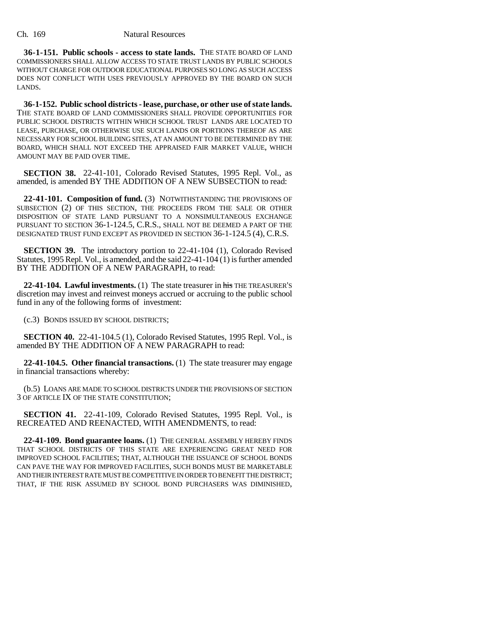**36-1-151. Public schools - access to state lands.** THE STATE BOARD OF LAND COMMISSIONERS SHALL ALLOW ACCESS TO STATE TRUST LANDS BY PUBLIC SCHOOLS WITHOUT CHARGE FOR OUTDOOR EDUCATIONAL PURPOSES SO LONG AS SUCH ACCESS DOES NOT CONFLICT WITH USES PREVIOUSLY APPROVED BY THE BOARD ON SUCH LANDS.

**36-1-152. Public school districts - lease, purchase, or other use of state lands.** THE STATE BOARD OF LAND COMMISSIONERS SHALL PROVIDE OPPORTUNITIES FOR PUBLIC SCHOOL DISTRICTS WITHIN WHICH SCHOOL TRUST LANDS ARE LOCATED TO LEASE, PURCHASE, OR OTHERWISE USE SUCH LANDS OR PORTIONS THEREOF AS ARE NECESSARY FOR SCHOOL BUILDING SITES, AT AN AMOUNT TO BE DETERMINED BY THE BOARD, WHICH SHALL NOT EXCEED THE APPRAISED FAIR MARKET VALUE, WHICH AMOUNT MAY BE PAID OVER TIME.

**SECTION 38.** 22-41-101, Colorado Revised Statutes, 1995 Repl. Vol., as amended, is amended BY THE ADDITION OF A NEW SUBSECTION to read:

**22-41-101. Composition of fund.** (3) NOTWITHSTANDING THE PROVISIONS OF SUBSECTION (2) OF THIS SECTION, THE PROCEEDS FROM THE SALE OR OTHER DISPOSITION OF STATE LAND PURSUANT TO A NONSIMULTANEOUS EXCHANGE PURSUANT TO SECTION 36-1-124.5, C.R.S., SHALL NOT BE DEEMED A PART OF THE DESIGNATED TRUST FUND EXCEPT AS PROVIDED IN SECTION 36-1-124.5 (4), C.R.S.

**SECTION 39.** The introductory portion to 22-41-104 (1), Colorado Revised Statutes, 1995 Repl. Vol., is amended, and the said 22-41-104 (1) is further amended BY THE ADDITION OF A NEW PARAGRAPH, to read:

**22-41-104. Lawful investments.** (1) The state treasurer in his THE TREASURER'S discretion may invest and reinvest moneys accrued or accruing to the public school fund in any of the following forms of investment:

(c.3) BONDS ISSUED BY SCHOOL DISTRICTS;

**SECTION 40.** 22-41-104.5 (1), Colorado Revised Statutes, 1995 Repl. Vol., is amended BY THE ADDITION OF A NEW PARAGRAPH to read:

**22-41-104.5. Other financial transactions.** (1) The state treasurer may engage in financial transactions whereby:

(b.5) LOANS ARE MADE TO SCHOOL DISTRICTS UNDER THE PROVISIONS OF SECTION 3 OF ARTICLE IX OF THE STATE CONSTITUTION;

**SECTION 41.** 22-41-109, Colorado Revised Statutes, 1995 Repl. Vol., is RECREATED AND REENACTED, WITH AMENDMENTS, to read:

**22-41-109. Bond guarantee loans.** (1) THE GENERAL ASSEMBLY HEREBY FINDS THAT SCHOOL DISTRICTS OF THIS STATE ARE EXPERIENCING GREAT NEED FOR IMPROVED SCHOOL FACILITIES; THAT, ALTHOUGH THE ISSUANCE OF SCHOOL BONDS CAN PAVE THE WAY FOR IMPROVED FACILITIES, SUCH BONDS MUST BE MARKETABLE AND THEIR INTEREST RATE MUST BE COMPETITIVE IN ORDER TO BENEFIT THE DISTRICT; THAT, IF THE RISK ASSUMED BY SCHOOL BOND PURCHASERS WAS DIMINISHED,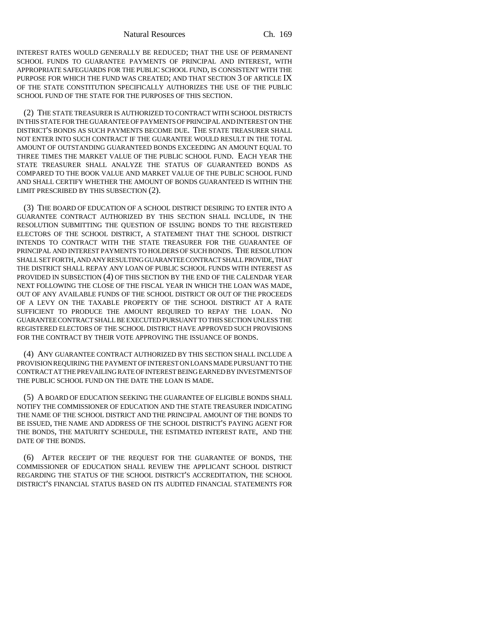INTEREST RATES WOULD GENERALLY BE REDUCED; THAT THE USE OF PERMANENT SCHOOL FUNDS TO GUARANTEE PAYMENTS OF PRINCIPAL AND INTEREST, WITH APPROPRIATE SAFEGUARDS FOR THE PUBLIC SCHOOL FUND, IS CONSISTENT WITH THE PURPOSE FOR WHICH THE FUND WAS CREATED; AND THAT SECTION 3 OF ARTICLE IX OF THE STATE CONSTITUTION SPECIFICALLY AUTHORIZES THE USE OF THE PUBLIC SCHOOL FUND OF THE STATE FOR THE PURPOSES OF THIS SECTION.

(2) THE STATE TREASURER IS AUTHORIZED TO CONTRACT WITH SCHOOL DISTRICTS IN THIS STATE FOR THE GUARANTEE OF PAYMENTS OF PRINCIPAL AND INTEREST ON THE DISTRICT'S BONDS AS SUCH PAYMENTS BECOME DUE. THE STATE TREASURER SHALL NOT ENTER INTO SUCH CONTRACT IF THE GUARANTEE WOULD RESULT IN THE TOTAL AMOUNT OF OUTSTANDING GUARANTEED BONDS EXCEEDING AN AMOUNT EQUAL TO THREE TIMES THE MARKET VALUE OF THE PUBLIC SCHOOL FUND. EACH YEAR THE STATE TREASURER SHALL ANALYZE THE STATUS OF GUARANTEED BONDS AS COMPARED TO THE BOOK VALUE AND MARKET VALUE OF THE PUBLIC SCHOOL FUND AND SHALL CERTIFY WHETHER THE AMOUNT OF BONDS GUARANTEED IS WITHIN THE LIMIT PRESCRIBED BY THIS SUBSECTION (2).

(3) THE BOARD OF EDUCATION OF A SCHOOL DISTRICT DESIRING TO ENTER INTO A GUARANTEE CONTRACT AUTHORIZED BY THIS SECTION SHALL INCLUDE, IN THE RESOLUTION SUBMITTING THE QUESTION OF ISSUING BONDS TO THE REGISTERED ELECTORS OF THE SCHOOL DISTRICT, A STATEMENT THAT THE SCHOOL DISTRICT INTENDS TO CONTRACT WITH THE STATE TREASURER FOR THE GUARANTEE OF PRINCIPAL AND INTEREST PAYMENTS TO HOLDERS OF SUCH BONDS. THE RESOLUTION SHALL SET FORTH, AND ANY RESULTING GUARANTEE CONTRACT SHALL PROVIDE, THAT THE DISTRICT SHALL REPAY ANY LOAN OF PUBLIC SCHOOL FUNDS WITH INTEREST AS PROVIDED IN SUBSECTION (4) OF THIS SECTION BY THE END OF THE CALENDAR YEAR NEXT FOLLOWING THE CLOSE OF THE FISCAL YEAR IN WHICH THE LOAN WAS MADE, OUT OF ANY AVAILABLE FUNDS OF THE SCHOOL DISTRICT OR OUT OF THE PROCEEDS OF A LEVY ON THE TAXABLE PROPERTY OF THE SCHOOL DISTRICT AT A RATE SUFFICIENT TO PRODUCE THE AMOUNT REQUIRED TO REPAY THE LOAN. NO GUARANTEE CONTRACT SHALL BE EXECUTED PURSUANT TO THIS SECTION UNLESS THE REGISTERED ELECTORS OF THE SCHOOL DISTRICT HAVE APPROVED SUCH PROVISIONS FOR THE CONTRACT BY THEIR VOTE APPROVING THE ISSUANCE OF BONDS.

(4) ANY GUARANTEE CONTRACT AUTHORIZED BY THIS SECTION SHALL INCLUDE A PROVISION REQUIRING THE PAYMENT OF INTEREST ON LOANS MADE PURSUANT TO THE CONTRACT AT THE PREVAILING RATE OF INTEREST BEING EARNED BY INVESTMENTS OF THE PUBLIC SCHOOL FUND ON THE DATE THE LOAN IS MADE.

(5) A BOARD OF EDUCATION SEEKING THE GUARANTEE OF ELIGIBLE BONDS SHALL NOTIFY THE COMMISSIONER OF EDUCATION AND THE STATE TREASURER INDICATING THE NAME OF THE SCHOOL DISTRICT AND THE PRINCIPAL AMOUNT OF THE BONDS TO BE ISSUED, THE NAME AND ADDRESS OF THE SCHOOL DISTRICT'S PAYING AGENT FOR THE BONDS, THE MATURITY SCHEDULE, THE ESTIMATED INTEREST RATE, AND THE DATE OF THE BONDS.

(6) AFTER RECEIPT OF THE REQUEST FOR THE GUARANTEE OF BONDS, THE COMMISSIONER OF EDUCATION SHALL REVIEW THE APPLICANT SCHOOL DISTRICT REGARDING THE STATUS OF THE SCHOOL DISTRICT'S ACCREDITATION, THE SCHOOL DISTRICT'S FINANCIAL STATUS BASED ON ITS AUDITED FINANCIAL STATEMENTS FOR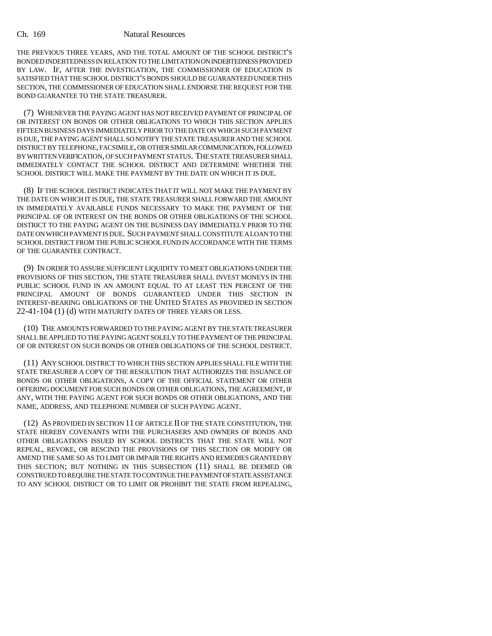THE PREVIOUS THREE YEARS, AND THE TOTAL AMOUNT OF THE SCHOOL DISTRICT'S BONDED INDEBTEDNESS IN RELATION TO THE LIMITATION ON INDEBTEDNESS PROVIDED BY LAW. IF, AFTER THE INVESTIGATION, THE COMMISSIONER OF EDUCATION IS SATISFIED THAT THE SCHOOL DISTRICT'S BONDS SHOULD BE GUARANTEED UNDER THIS SECTION, THE COMMISSIONER OF EDUCATION SHALL ENDORSE THE REQUEST FOR THE BOND GUARANTEE TO THE STATE TREASURER.

(7) WHENEVER THE PAYING AGENT HAS NOT RECEIVED PAYMENT OF PRINCIPAL OF OR INTEREST ON BONDS OR OTHER OBLIGATIONS TO WHICH THIS SECTION APPLIES FIFTEEN BUSINESS DAYS IMMEDIATELY PRIOR TO THE DATE ON WHICH SUCH PAYMENT IS DUE, THE PAYING AGENT SHALL SO NOTIFY THE STATE TREASURER AND THE SCHOOL DISTRICT BY TELEPHONE, FACSIMILE, OR OTHER SIMILAR COMMUNICATION, FOLLOWED BY WRITTEN VERIFICATION, OF SUCH PAYMENT STATUS. THE STATE TREASURER SHALL IMMEDIATELY CONTACT THE SCHOOL DISTRICT AND DETERMINE WHETHER THE SCHOOL DISTRICT WILL MAKE THE PAYMENT BY THE DATE ON WHICH IT IS DUE.

(8) IF THE SCHOOL DISTRICT INDICATES THAT IT WILL NOT MAKE THE PAYMENT BY THE DATE ON WHICH IT IS DUE, THE STATE TREASURER SHALL FORWARD THE AMOUNT IN IMMEDIATELY AVAILABLE FUNDS NECESSARY TO MAKE THE PAYMENT OF THE PRINCIPAL OF OR INTEREST ON THE BONDS OR OTHER OBLIGATIONS OF THE SCHOOL DISTRICT TO THE PAYING AGENT ON THE BUSINESS DAY IMMEDIATELY PRIOR TO THE DATE ON WHICH PAYMENT IS DUE. SUCH PAYMENT SHALL CONSTITUTE A LOAN TO THE SCHOOL DISTRICT FROM THE PUBLIC SCHOOL FUND IN ACCORDANCE WITH THE TERMS OF THE GUARANTEE CONTRACT.

(9) IN ORDER TO ASSURE SUFFICIENT LIQUIDITY TO MEET OBLIGATIONS UNDER THE PROVISIONS OF THIS SECTION, THE STATE TREASURER SHALL INVEST MONEYS IN THE PUBLIC SCHOOL FUND IN AN AMOUNT EQUAL TO AT LEAST TEN PERCENT OF THE PRINCIPAL AMOUNT OF BONDS GUARANTEED UNDER THIS SECTION IN INTEREST-BEARING OBLIGATIONS OF THE UNITED STATES AS PROVIDED IN SECTION 22-41-104 (1) (d) WITH MATURITY DATES OF THREE YEARS OR LESS.

(10) THE AMOUNTS FORWARDED TO THE PAYING AGENT BY THE STATE TREASURER SHALL BE APPLIED TO THE PAYING AGENT SOLELY TO THE PAYMENT OF THE PRINCIPAL OF OR INTEREST ON SUCH BONDS OR OTHER OBLIGATIONS OF THE SCHOOL DISTRICT.

(11) ANY SCHOOL DISTRICT TO WHICH THIS SECTION APPLIES SHALL FILE WITH THE STATE TREASURER A COPY OF THE RESOLUTION THAT AUTHORIZES THE ISSUANCE OF BONDS OR OTHER OBLIGATIONS, A COPY OF THE OFFICIAL STATEMENT OR OTHER OFFERING DOCUMENT FOR SUCH BONDS OR OTHER OBLIGATIONS, THE AGREEMENT, IF ANY, WITH THE PAYING AGENT FOR SUCH BONDS OR OTHER OBLIGATIONS, AND THE NAME, ADDRESS, AND TELEPHONE NUMBER OF SUCH PAYING AGENT.

(12) AS PROVIDED IN SECTION 11 OF ARTICLE II OF THE STATE CONSTITUTION, THE STATE HEREBY COVENANTS WITH THE PURCHASERS AND OWNERS OF BONDS AND OTHER OBLIGATIONS ISSUED BY SCHOOL DISTRICTS THAT THE STATE WILL NOT REPEAL, REVOKE, OR RESCIND THE PROVISIONS OF THIS SECTION OR MODIFY OR AMEND THE SAME SO AS TO LIMIT OR IMPAIR THE RIGHTS AND REMEDIES GRANTED BY THIS SECTION; BUT NOTHING IN THIS SUBSECTION (11) SHALL BE DEEMED OR CONSTRUED TO REQUIRE THE STATE TO CONTINUE THE PAYMENT OF STATE ASSISTANCE TO ANY SCHOOL DISTRICT OR TO LIMIT OR PROHIBIT THE STATE FROM REPEALING,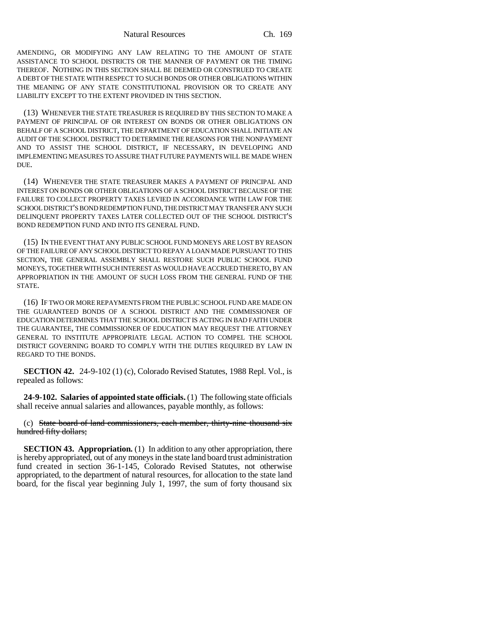Natural Resources Ch. 169

AMENDING, OR MODIFYING ANY LAW RELATING TO THE AMOUNT OF STATE ASSISTANCE TO SCHOOL DISTRICTS OR THE MANNER OF PAYMENT OR THE TIMING THEREOF. NOTHING IN THIS SECTION SHALL BE DEEMED OR CONSTRUED TO CREATE A DEBT OF THE STATE WITH RESPECT TO SUCH BONDS OR OTHER OBLIGATIONS WITHIN THE MEANING OF ANY STATE CONSTITUTIONAL PROVISION OR TO CREATE ANY LIABILITY EXCEPT TO THE EXTENT PROVIDED IN THIS SECTION.

(13) WHENEVER THE STATE TREASURER IS REQUIRED BY THIS SECTION TO MAKE A PAYMENT OF PRINCIPAL OF OR INTEREST ON BONDS OR OTHER OBLIGATIONS ON BEHALF OF A SCHOOL DISTRICT, THE DEPARTMENT OF EDUCATION SHALL INITIATE AN AUDIT OF THE SCHOOL DISTRICT TO DETERMINE THE REASONS FOR THE NONPAYMENT AND TO ASSIST THE SCHOOL DISTRICT, IF NECESSARY, IN DEVELOPING AND IMPLEMENTING MEASURES TO ASSURE THAT FUTURE PAYMENTS WILL BE MADE WHEN DUE.

(14) WHENEVER THE STATE TREASURER MAKES A PAYMENT OF PRINCIPAL AND INTEREST ON BONDS OR OTHER OBLIGATIONS OF A SCHOOL DISTRICT BECAUSE OF THE FAILURE TO COLLECT PROPERTY TAXES LEVIED IN ACCORDANCE WITH LAW FOR THE SCHOOL DISTRICT'S BOND REDEMPTION FUND, THE DISTRICT MAY TRANSFER ANY SUCH DELINQUENT PROPERTY TAXES LATER COLLECTED OUT OF THE SCHOOL DISTRICT'S BOND REDEMPTION FUND AND INTO ITS GENERAL FUND.

(15) IN THE EVENT THAT ANY PUBLIC SCHOOL FUND MONEYS ARE LOST BY REASON OF THE FAILURE OF ANY SCHOOL DISTRICT TO REPAY A LOAN MADE PURSUANT TO THIS SECTION, THE GENERAL ASSEMBLY SHALL RESTORE SUCH PUBLIC SCHOOL FUND MONEYS, TOGETHER WITH SUCH INTEREST AS WOULD HAVE ACCRUED THERETO, BY AN APPROPRIATION IN THE AMOUNT OF SUCH LOSS FROM THE GENERAL FUND OF THE STATE.

(16) IF TWO OR MORE REPAYMENTS FROM THE PUBLIC SCHOOL FUND ARE MADE ON THE GUARANTEED BONDS OF A SCHOOL DISTRICT AND THE COMMISSIONER OF EDUCATION DETERMINES THAT THE SCHOOL DISTRICT IS ACTING IN BAD FAITH UNDER THE GUARANTEE, THE COMMISSIONER OF EDUCATION MAY REQUEST THE ATTORNEY GENERAL TO INSTITUTE APPROPRIATE LEGAL ACTION TO COMPEL THE SCHOOL DISTRICT GOVERNING BOARD TO COMPLY WITH THE DUTIES REQUIRED BY LAW IN REGARD TO THE BONDS.

**SECTION 42.** 24-9-102 (1) (c), Colorado Revised Statutes, 1988 Repl. Vol., is repealed as follows:

**24-9-102. Salaries of appointed state officials.** (1) The following state officials shall receive annual salaries and allowances, payable monthly, as follows:

(c) State board of land commissioners, each member, thirty-nine thousand six hundred fifty dollars;

**SECTION 43. Appropriation.** (1) In addition to any other appropriation, there is hereby appropriated, out of any moneys in the state land board trust administration fund created in section 36-1-145, Colorado Revised Statutes, not otherwise appropriated, to the department of natural resources, for allocation to the state land board, for the fiscal year beginning July 1, 1997, the sum of forty thousand six